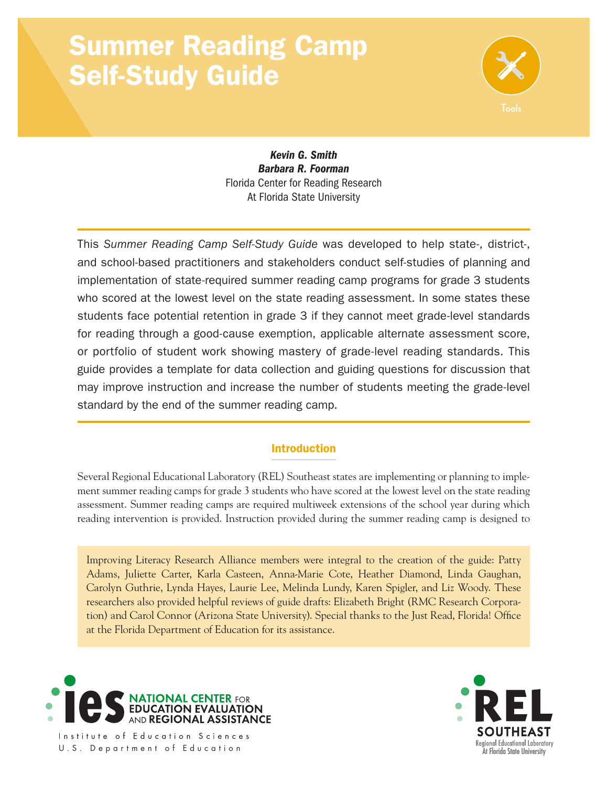# Summer Reading Camp Self-Study Guide



*Kevin G. Smith Barbara R. Foorman* Florida Center for Reading Research At Florida State University

This *Summer Reading Camp Self-Study Guide* was developed to help state-, district-, and school-based practitioners and stakeholders conduct self-studies of planning and implementation of state-required summer reading camp programs for grade 3 students who scored at the lowest level on the state reading assessment. In some states these students face potential retention in grade 3 if they cannot meet grade-level standards for reading through a good-cause exemption, applicable alternate assessment score, or portfolio of student work showing mastery of grade-level reading standards. This guide provides a template for data collection and guiding questions for discussion that may improve instruction and increase the number of students meeting the grade-level standard by the end of the summer reading camp.

## Introduction

Several Regional Educational Laboratory (REL) Southeast states are implementing or planning to implement summer reading camps for grade 3 students who have scored at the lowest level on the state reading assessment. Summer reading camps are required multiweek extensions of the school year during which reading intervention is provided. Instruction provided during the summer reading camp is designed to

Improving Literacy Research Alliance members were integral to the creation of the guide: Patty Adams, Juliette Carter, Karla Casteen, Anna-Marie Cote, Heather Diamond, Linda Gaughan, Carolyn Guthrie, Lynda Hayes, Laurie Lee, Melinda Lundy, Karen Spigler, and Liz Woody. These researchers also provided helpful reviews of guide drafts: Elizabeth Bright (RMC Research Corporation) and Carol Connor (Arizona State University). Special thanks to the Just Read, Florida! Office at the Florida Department of Education for its assistance.



Institute of Education Sciences U.S. Department of Education

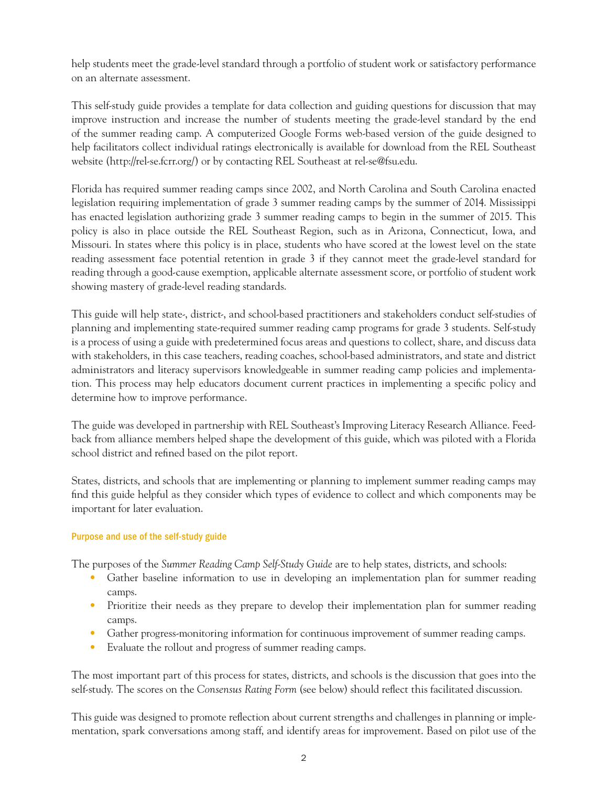help students meet the grade-level standard through a portfolio of student work or satisfactory performance on an alternate assessment.

This self-study guide provides a template for data collection and guiding questions for discussion that may improve instruction and increase the number of students meeting the grade-level standard by the end of the summer reading camp. A computerized Google Forms web-based version of the guide designed to help facilitators collect individual ratings electronically is available for download from the REL Southeast website ([http://rel-se.fcrr.org/\)](http://rel-se.fcrr.org/) or by contacting REL Southeast at [rel-se@fsu.edu.](mailto:rel-se@fsu.edu)

Florida has required summer reading camps since 2002, and North Carolina and South Carolina enacted legislation requiring implementation of grade 3 summer reading camps by the summer of 2014. Mississippi has enacted legislation authorizing grade 3 summer reading camps to begin in the summer of 2015. This policy is also in place outside the REL Southeast Region, such as in Arizona, Connecticut, Iowa, and Missouri. In states where this policy is in place, students who have scored at the lowest level on the state reading assessment face potential retention in grade 3 if they cannot meet the grade-level standard for reading through a good-cause exemption, applicable alternate assessment score, or portfolio of student work showing mastery of grade-level reading standards.

This guide will help state-, district-, and school-based practitioners and stakeholders conduct self-studies of planning and implementing state-required summer reading camp programs for grade 3 students. Self-study is a process of using a guide with predetermined focus areas and questions to collect, share, and discuss data with stakeholders, in this case teachers, reading coaches, school-based administrators, and state and district administrators and literacy supervisors knowledgeable in summer reading camp policies and implementation. This process may help educators document current practices in implementing a specific policy and determine how to improve performance.

The guide was developed in partnership with REL Southeast's Improving Literacy Research Alliance. Feedback from alliance members helped shape the development of this guide, which was piloted with a Florida school district and refined based on the pilot report.

States, districts, and schools that are implementing or planning to implement summer reading camps may find this guide helpful as they consider which types of evidence to collect and which components may be important for later evaluation.

## Purpose and use of the self-study guide

The purposes of the *Summer Reading Camp Self-Study Guide* are to help states, districts, and schools:

- Gather baseline information to use in developing an implementation plan for summer reading camps.
- Prioritize their needs as they prepare to develop their implementation plan for summer reading camps.
- Gather progress-monitoring information for continuous improvement of summer reading camps.
- Evaluate the rollout and progress of summer reading camps.

The most important part of this process for states, districts, and schools is the discussion that goes into the self-study. The scores on the *Consensus Rating Form* (see below) should reflect this facilitated discussion.

This guide was designed to promote reflection about current strengths and challenges in planning or implementation, spark conversations among staff, and identify areas for improvement. Based on pilot use of the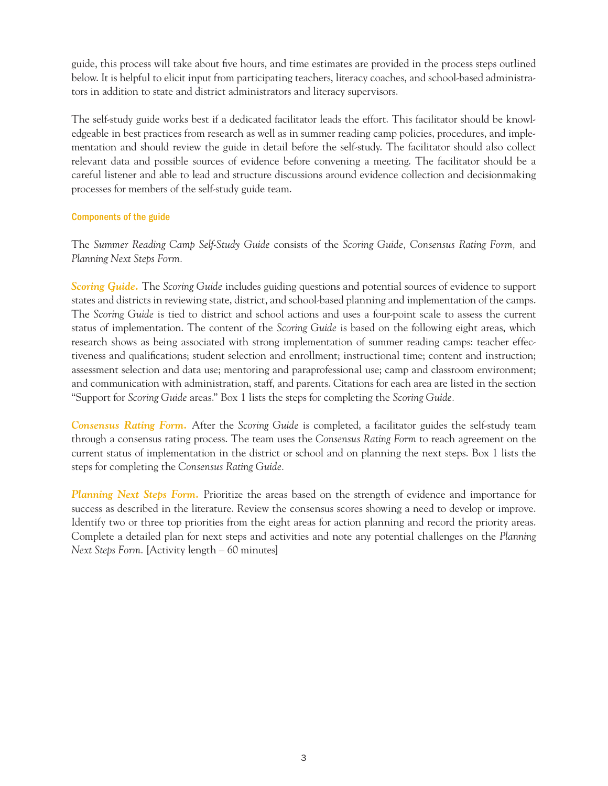guide, this process will take about five hours, and time estimates are provided in the process steps outlined below. It is helpful to elicit input from participating teachers, literacy coaches, and school-based administrators in addition to state and district administrators and literacy supervisors.

The self-study guide works best if a dedicated facilitator leads the effort. This facilitator should be knowledgeable in best practices from research as well as in summer reading camp policies, procedures, and implementation and should review the guide in detail before the self-study. The facilitator should also collect relevant data and possible sources of evidence before convening a meeting. The facilitator should be a careful listener and able to lead and structure discussions around evidence collection and decisionmaking processes for members of the self-study guide team.

## Components of the guide

The *Summer Reading Camp Self-Study Guide* consists of the *Scoring Guide, Consensus Rating Form,* and *Planning Next Steps Form.* 

*Scoring Guide.* The *Scoring Guide* includes guiding questions and potential sources of evidence to support states and districts in reviewing state, district, and school-based planning and implementation of the camps. The *Scoring Guide* is tied to district and school actions and uses a four-point scale to assess the current status of implementation. The content of the *Scoring Guide* is based on the following eight areas, which research shows as being associated with strong implementation of summer reading camps: teacher effectiveness and qualifications; student selection and enrollment; instructional time; content and instruction; assessment selection and data use; mentoring and paraprofessional use; camp and classroom environment; and communication with administration, staff, and parents. Citations for each area are listed in the section "Support for *Scoring Guide* areas." Box 1 lists the steps for completing the *Scoring Guide.* 

 through a consensus rating process. The team uses the *Consensus Rating Form* to reach agreement on the *Consensus Rating Form.* After the *Scoring Guide* is completed, a facilitator guides the self-study team current status of implementation in the district or school and on planning the next steps. Box 1 lists the steps for completing the *Consensus Rating Guide.* 

*Planning Next Steps Form.* Prioritize the areas based on the strength of evidence and importance for success as described in the literature. Review the consensus scores showing a need to develop or improve. Identify two or three top priorities from the eight areas for action planning and record the priority areas. Complete a detailed plan for next steps and activities and note any potential challenges on the *Planning Next Steps Form.* [Activity length – 60 minutes]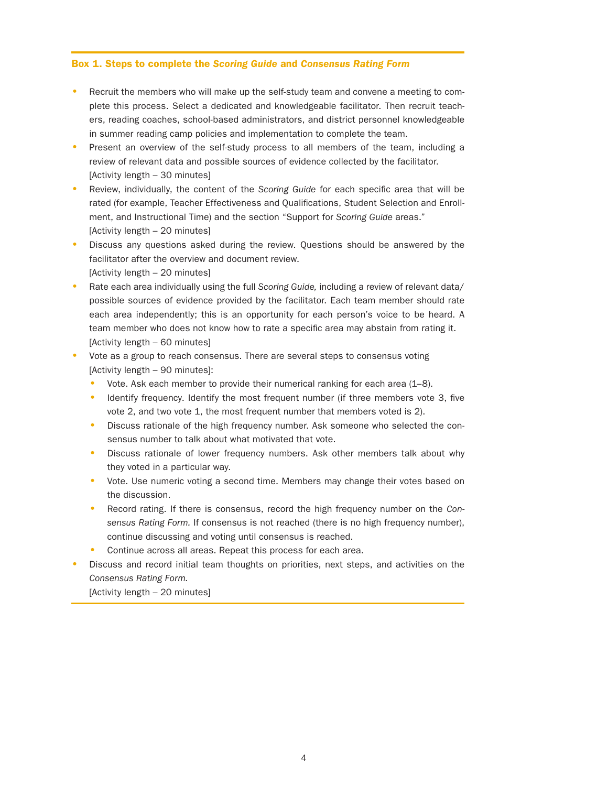#### Box 1. Steps to complete the *Scoring Guide* and *Consensus Rating Form*

- Recruit the members who will make up the self-study team and convene a meeting to complete this process. Select a dedicated and knowledgeable facilitator. Then recruit teachers, reading coaches, school-based administrators, and district personnel knowledgeable in summer reading camp policies and implementation to complete the team.
- Present an overview of the self-study process to all members of the team, including a review of relevant data and possible sources of evidence collected by the facilitator. [Activity length – 30 minutes]
- Review, individually, the content of the Scoring Guide for each specific area that will be rated (for example, Teacher Effectiveness and Qualifications, Student Selection and Enrollment, and Instructional Time) and the section "Support for *Scoring Guide* areas." [Activity length – 20 minutes]
- Discuss any questions asked during the review. Questions should be answered by the facilitator after the overview and document review. [Activity length – 20 minutes]
- Rate each area individually using the full *Scoring Guide*, including a review of relevant data/ possible sources of evidence provided by the facilitator. Each team member should rate each area independently; this is an opportunity for each person's voice to be heard. A team member who does not know how to rate a specific area may abstain from rating it. [Activity length – 60 minutes]
- Vote as a group to reach consensus. There are several steps to consensus voting [Activity length – 90 minutes]:
	- Vote. Ask each member to provide their numerical ranking for each area  $(1-8)$ .
	- Identify frequency. Identify the most frequent number (if three members vote 3, five vote 2, and two vote 1, the most frequent number that members voted is 2).
	- Discuss rationale of the high frequency number. Ask someone who selected the consensus number to talk about what motivated that vote.
	- Discuss rationale of lower frequency numbers. Ask other members talk about why they voted in a particular way.
	- Vote. Use numeric voting a second time. Members may change their votes based on the discussion.
	- Record rating. If there is consensus, record the high frequency number on the *Consensus Rating Form.* If consensus is not reached (there is no high frequency number), continue discussing and voting until consensus is reached.
	- Continue across all areas. Repeat this process for each area.
- Discuss and record initial team thoughts on priorities, next steps, and activities on the *Consensus Rating Form.*

[Activity length – 20 minutes]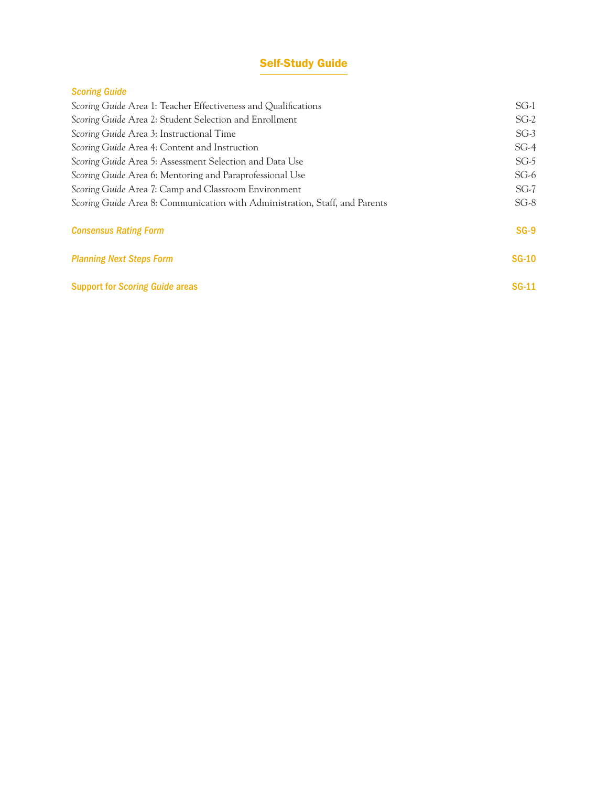## Self-Study Guide

## *Scoring Guide*

| Scoring Guide Area 1: Teacher Effectiveness and Qualifications              | $SG-1$       |
|-----------------------------------------------------------------------------|--------------|
| Scoring Guide Area 2: Student Selection and Enrollment                      | $SG-2$       |
| Scoring Guide Area 3: Instructional Time                                    | $SG-3$       |
| Scoring Guide Area 4: Content and Instruction                               | $SG-4$       |
| Scoring Guide Area 5: Assessment Selection and Data Use                     | $SG-5$       |
| Scoring Guide Area 6: Mentoring and Paraprofessional Use                    | $SG-6$       |
| Scoring Guide Area 7: Camp and Classroom Environment                        | $SG-7$       |
| Scoring Guide Area 8: Communication with Administration, Staff, and Parents | $SG-8$       |
| <b>Consensus Rating Form</b>                                                | $SG-9$       |
| <b>Planning Next Steps Form</b>                                             | <b>SG-10</b> |
| <b>Support for Scoring Guide areas</b>                                      | $SG-11$      |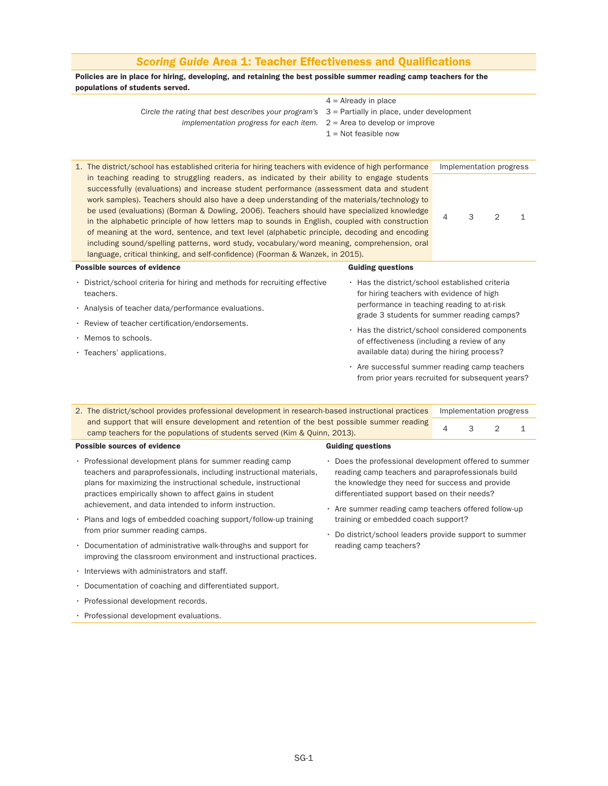| <b>Scoring Guide Area 1: Teacher Effectiveness and Qualifications</b>                                                                                                                                                                                                                                                                                                                                                                                                                                                                                                                                                                                                                                                                                                                                                                                                              |                                                                                                                                                                                                                                                                                                                                                                                                                                              |                |                              |   |              |  |  |
|------------------------------------------------------------------------------------------------------------------------------------------------------------------------------------------------------------------------------------------------------------------------------------------------------------------------------------------------------------------------------------------------------------------------------------------------------------------------------------------------------------------------------------------------------------------------------------------------------------------------------------------------------------------------------------------------------------------------------------------------------------------------------------------------------------------------------------------------------------------------------------|----------------------------------------------------------------------------------------------------------------------------------------------------------------------------------------------------------------------------------------------------------------------------------------------------------------------------------------------------------------------------------------------------------------------------------------------|----------------|------------------------------|---|--------------|--|--|
| Policies are in place for hiring, developing, and retaining the best possible summer reading camp teachers for the<br>populations of students served.                                                                                                                                                                                                                                                                                                                                                                                                                                                                                                                                                                                                                                                                                                                              |                                                                                                                                                                                                                                                                                                                                                                                                                                              |                |                              |   |              |  |  |
| Circle the rating that best describes your program's $3$ = Partially in place, under development<br>implementation progress for each item.                                                                                                                                                                                                                                                                                                                                                                                                                                                                                                                                                                                                                                                                                                                                         | $4 =$ Already in place<br>$2$ = Area to develop or improve<br>$1 = Not feasible now$                                                                                                                                                                                                                                                                                                                                                         |                |                              |   |              |  |  |
| 1. The district/school has established criteria for hiring teachers with evidence of high performance<br>in teaching reading to struggling readers, as indicated by their ability to engage students<br>successfully (evaluations) and increase student performance (assessment data and student<br>work samples). Teachers should also have a deep understanding of the materials/technology to<br>be used (evaluations) (Borman & Dowling, 2006). Teachers should have specialized knowledge<br>in the alphabetic principle of how letters map to sounds in English, coupled with construction<br>of meaning at the word, sentence, and text level (alphabetic principle, decoding and encoding<br>including sound/spelling patterns, word study, vocabulary/word meaning, comprehension, oral<br>language, critical thinking, and self-confidence) (Foorman & Wanzek, in 2015). |                                                                                                                                                                                                                                                                                                                                                                                                                                              | 4              | Implementation progress<br>3 | 2 | $\mathbf 1$  |  |  |
| <b>Possible sources of evidence</b>                                                                                                                                                                                                                                                                                                                                                                                                                                                                                                                                                                                                                                                                                                                                                                                                                                                | <b>Guiding questions</b>                                                                                                                                                                                                                                                                                                                                                                                                                     |                |                              |   |              |  |  |
| • District/school criteria for hiring and methods for recruiting effective<br>teachers.<br>· Analysis of teacher data/performance evaluations.<br>· Review of teacher certification/endorsements.<br>· Memos to schools.<br>· Teachers' applications.                                                                                                                                                                                                                                                                                                                                                                                                                                                                                                                                                                                                                              | . Has the district/school established criteria<br>for hiring teachers with evidence of high<br>performance in teaching reading to at-risk<br>grade 3 students for summer reading camps?<br>• Has the district/school considered components<br>of effectiveness (including a review of any<br>available data) during the hiring process?<br>• Are successful summer reading camp teachers<br>from prior years recruited for subsequent years? |                |                              |   |              |  |  |
|                                                                                                                                                                                                                                                                                                                                                                                                                                                                                                                                                                                                                                                                                                                                                                                                                                                                                    |                                                                                                                                                                                                                                                                                                                                                                                                                                              |                |                              |   |              |  |  |
| 2. The district/school provides professional development in research-based instructional practices<br>and support that will ensure development and retention of the best possible summer reading                                                                                                                                                                                                                                                                                                                                                                                                                                                                                                                                                                                                                                                                                   |                                                                                                                                                                                                                                                                                                                                                                                                                                              |                | Implementation progress      |   |              |  |  |
| camp teachers for the populations of students served (Kim & Quinn, 2013).                                                                                                                                                                                                                                                                                                                                                                                                                                                                                                                                                                                                                                                                                                                                                                                                          |                                                                                                                                                                                                                                                                                                                                                                                                                                              | $\overline{4}$ | 3                            | 2 | $\mathbf{1}$ |  |  |
| <b>Possible sources of evidence</b>                                                                                                                                                                                                                                                                                                                                                                                                                                                                                                                                                                                                                                                                                                                                                                                                                                                | <b>Guiding questions</b>                                                                                                                                                                                                                                                                                                                                                                                                                     |                |                              |   |              |  |  |
| • Professional development plans for summer reading camp<br>teachers and paraprofessionals, including instructional materials,<br>plans for maximizing the instructional schedule, instructional<br>practices empirically shown to affect gains in student<br>achievement, and data intended to inform instruction.<br>• Plans and logs of embedded coaching support/follow-up training<br>from prior summer reading camps.                                                                                                                                                                                                                                                                                                                                                                                                                                                        | • Does the professional development offered to summer<br>reading camp teachers and paraprofessionals build<br>the knowledge they need for success and provide<br>differentiated support based on their needs?<br>• Are summer reading camp teachers offered follow-up<br>training or embedded coach support?<br>• Do district/school leaders provide support to summer                                                                       |                |                              |   |              |  |  |
| • Documentation of administrative walk-throughs and support for                                                                                                                                                                                                                                                                                                                                                                                                                                                                                                                                                                                                                                                                                                                                                                                                                    | reading camp teachers?                                                                                                                                                                                                                                                                                                                                                                                                                       |                |                              |   |              |  |  |

- Interviews with administrators and staff.
- Documentation of coaching and differentiated support.

improving the classroom environment and instructional practices.

- Professional development records.
- Professional development evaluations.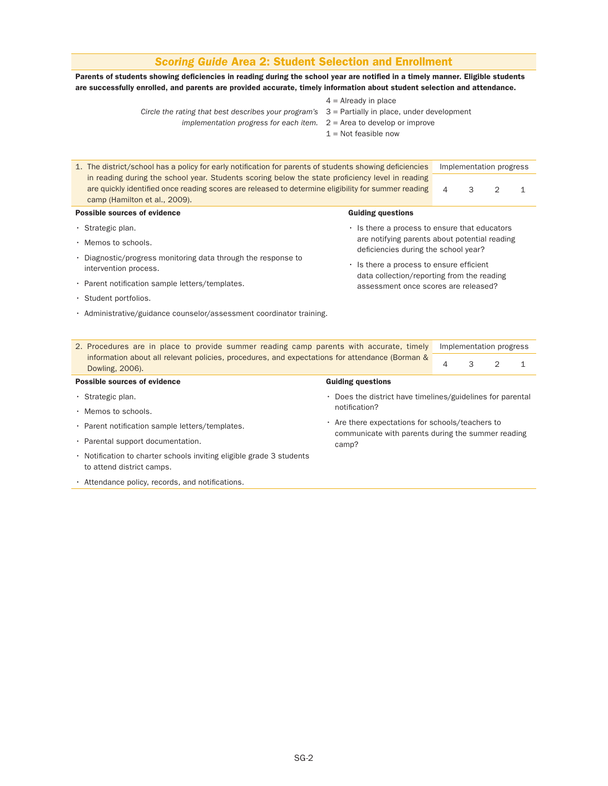## *Scoring Guide* Area 2: Student Selection and Enrollment

Parents of students showing deficiencies in reading during the school year are notified in a timely manner. Eligible students are successfully enrolled, and parents are provided accurate, timely information about student selection and attendance.

- *Circle the rating that best describes your program's* 3 = Partially in place, under development
	- *implementation progress for each item.* 2 = Area to develop or improve
- $4 =$  Already in place
- - - $1 =$  Not feasible now

| 1. The district/school has a policy for early notification for parents of students showing deficiencies           |                                                                                                                                                                                                         |   |   | Implementation progress |              |
|-------------------------------------------------------------------------------------------------------------------|---------------------------------------------------------------------------------------------------------------------------------------------------------------------------------------------------------|---|---|-------------------------|--------------|
| camp (Hamilton et al., 2009).                                                                                     | in reading during the school year. Students scoring below the state proficiency level in reading<br>are quickly identified once reading scores are released to determine eligibility for summer reading |   | 3 | $\overline{2}$          | $\mathbf{1}$ |
| <b>Possible sources of evidence</b>                                                                               | <b>Guiding questions</b>                                                                                                                                                                                |   |   |                         |              |
| $\cdot$ Strategic plan.                                                                                           | . Is there a process to ensure that educators                                                                                                                                                           |   |   |                         |              |
| · Memos to schools.                                                                                               | are notifying parents about potential reading<br>deficiencies during the school year?                                                                                                                   |   |   |                         |              |
| • Diagnostic/progress monitoring data through the response to<br>intervention process.                            | · Is there a process to ensure efficient<br>data collection/reporting from the reading                                                                                                                  |   |   |                         |              |
| · Parent notification sample letters/templates.                                                                   | assessment once scores are released?                                                                                                                                                                    |   |   |                         |              |
| · Student portfolios.                                                                                             |                                                                                                                                                                                                         |   |   |                         |              |
| · Administrative/guidance counselor/assessment coordinator training.                                              |                                                                                                                                                                                                         |   |   |                         |              |
|                                                                                                                   |                                                                                                                                                                                                         |   |   |                         |              |
| 2. Procedures are in place to provide summer reading camp parents with accurate, timely                           |                                                                                                                                                                                                         |   |   | Implementation progress |              |
| information about all relevant policies, procedures, and expectations for attendance (Borman &<br>Dowling, 2006). |                                                                                                                                                                                                         | 4 | 3 | $\overline{2}$          | 1            |
| Possible sources of evidence                                                                                      | <b>Guiding questions</b>                                                                                                                                                                                |   |   |                         |              |
| $\cdot$ Strategic plan.                                                                                           | · Does the district have timelines/guidelines for parental                                                                                                                                              |   |   |                         |              |
| · Memos to schools.                                                                                               | notification?                                                                                                                                                                                           |   |   |                         |              |
| · Parent notification sample letters/templates.                                                                   | . Are there expectations for schools/teachers to<br>communicate with parents during the summer reading                                                                                                  |   |   |                         |              |
| · Parental support documentation.                                                                                 | camp?                                                                                                                                                                                                   |   |   |                         |              |
| • Notification to charter schools inviting eligible grade 3 students<br>to attend district camps.                 |                                                                                                                                                                                                         |   |   |                         |              |
| • Attendance policy, records, and notifications.                                                                  |                                                                                                                                                                                                         |   |   |                         |              |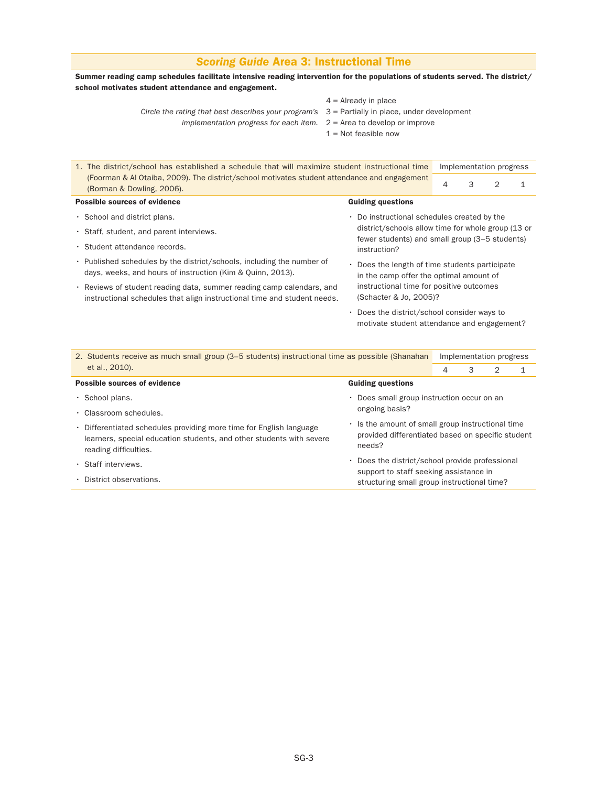## *Scoring Guide* Area 3: Instructional Time

Summer reading camp schedules facilitate intensive reading intervention for the populations of students served. The district/ school motivates student attendance and engagement.

- $4 =$  Already in place
- *Circle the rating that best describes your program's* 3 = Partially in place, under development
	- *implementation progress for each item.* 2 = Area to develop or improve
- -
	- $1 =$  Not feasible now

| 1. The district/school has established a schedule that will maximize student instructional time                                                   |                                                                                           |                                                                                                      |   | Implementation progress |  |
|---------------------------------------------------------------------------------------------------------------------------------------------------|-------------------------------------------------------------------------------------------|------------------------------------------------------------------------------------------------------|---|-------------------------|--|
| (Foorman & Al Otaiba, 2009). The district/school motivates student attendance and engagement<br>(Borman & Dowling, 2006).                         |                                                                                           | 4                                                                                                    | 3 | 2                       |  |
| <b>Possible sources of evidence</b>                                                                                                               | <b>Guiding questions</b>                                                                  |                                                                                                      |   |                         |  |
| . School and district plans.                                                                                                                      | • Do instructional schedules created by the                                               |                                                                                                      |   |                         |  |
| · Staff, student, and parent interviews.                                                                                                          |                                                                                           | district/schools allow time for whole group (13 or<br>fewer students) and small group (3–5 students) |   |                         |  |
| · Student attendance records.                                                                                                                     | instruction?                                                                              |                                                                                                      |   |                         |  |
| • Published schedules by the district/schools, including the number of<br>days, weeks, and hours of instruction (Kim & Quinn, 2013).              | • Does the length of time students participate<br>in the camp offer the optimal amount of |                                                                                                      |   |                         |  |
| . Reviews of student reading data, summer reading camp calendars, and<br>instructional schedules that align instructional time and student needs. | instructional time for positive outcomes<br>(Schacter & Jo. 2005)?                        |                                                                                                      |   |                         |  |
|                                                                                                                                                   |                                                                                           |                                                                                                      |   |                         |  |

• Does the district/school consider ways to motivate student attendance and engagement?

| 2. Students receive as much small group (3–5 students) instructional time as possible (Shanahan                                                                      |                                                                                                                  | Implementation progress |   |   |  |  |  |
|----------------------------------------------------------------------------------------------------------------------------------------------------------------------|------------------------------------------------------------------------------------------------------------------|-------------------------|---|---|--|--|--|
| et al., 2010).                                                                                                                                                       |                                                                                                                  | 4                       | 3 | 2 |  |  |  |
| Possible sources of evidence                                                                                                                                         | <b>Guiding questions</b>                                                                                         |                         |   |   |  |  |  |
| $\cdot$ School plans.                                                                                                                                                | • Does small group instruction occur on an                                                                       |                         |   |   |  |  |  |
| • Classroom schedules.                                                                                                                                               | ongoing basis?                                                                                                   |                         |   |   |  |  |  |
| • Differentiated schedules providing more time for English language<br>learners, special education students, and other students with severe<br>reading difficulties. | . Is the amount of small group instructional time<br>provided differentiated based on specific student<br>needs? |                         |   |   |  |  |  |
| · Staff interviews.                                                                                                                                                  | • Does the district/school provide professional                                                                  |                         |   |   |  |  |  |
| • District observations.                                                                                                                                             | support to staff seeking assistance in<br>structuring small group instructional time?                            |                         |   |   |  |  |  |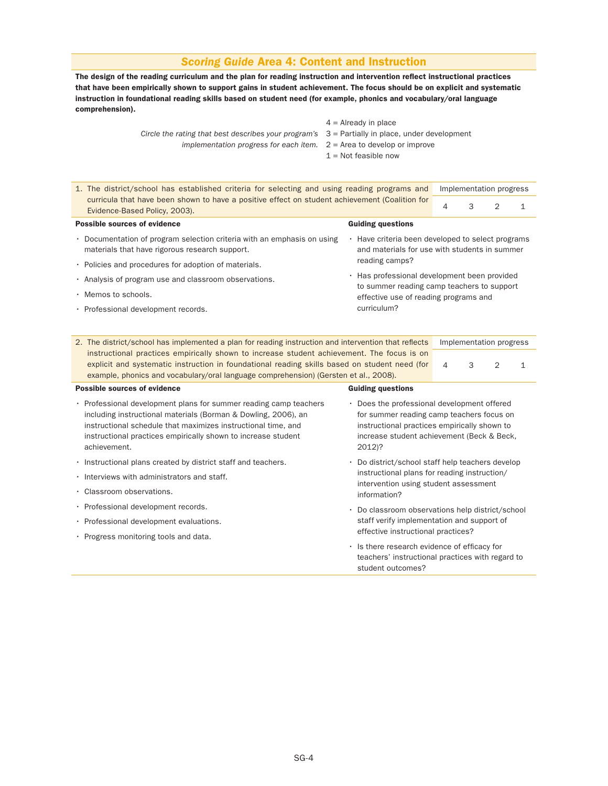#### *Scoring Guide* Area 4: Content and Instruction

The design of the reading curriculum and the plan for reading instruction and intervention reflect instructional practices that have been empirically shown to support gains in student achievement. The focus should be on explicit and systematic instruction in foundational reading skills based on student need (for example, phonics and vocabulary/oral language comprehension).

| $4 =$ Already in place |  |
|------------------------|--|
|                        |  |

- *Circle the rating that best describes your program's* 3 = Partially in place, under development
	- *implementation progress for each item.* 2 = Area to develop or improve
		- $1$  = Not feasible now

| 1. The district/school has established criteria for selecting and using reading programs and |                                                                                                                                                                                                                                                                                     | Implementation progress                                                                            |                                                                                     |                                              |   |                         |   |  |  |  |
|----------------------------------------------------------------------------------------------|-------------------------------------------------------------------------------------------------------------------------------------------------------------------------------------------------------------------------------------------------------------------------------------|----------------------------------------------------------------------------------------------------|-------------------------------------------------------------------------------------|----------------------------------------------|---|-------------------------|---|--|--|--|
|                                                                                              | curricula that have been shown to have a positive effect on student achievement (Coalition for<br>Evidence-Based Policy, 2003).                                                                                                                                                     |                                                                                                    |                                                                                     | 4                                            | 3 | $\mathcal{P}$           | 1 |  |  |  |
|                                                                                              | <b>Possible sources of evidence</b>                                                                                                                                                                                                                                                 |                                                                                                    | <b>Guiding questions</b>                                                            |                                              |   |                         |   |  |  |  |
|                                                                                              | • Documentation of program selection criteria with an emphasis on using<br>materials that have rigorous research support.                                                                                                                                                           | • Have criteria been developed to select programs<br>and materials for use with students in summer |                                                                                     |                                              |   |                         |   |  |  |  |
|                                                                                              | • Policies and procedures for adoption of materials.                                                                                                                                                                                                                                |                                                                                                    | reading camps?                                                                      |                                              |   |                         |   |  |  |  |
|                                                                                              | . Analysis of program use and classroom observations.                                                                                                                                                                                                                               |                                                                                                    |                                                                                     | . Has professional development been provided |   |                         |   |  |  |  |
|                                                                                              | $\cdot$ Memos to schools.                                                                                                                                                                                                                                                           |                                                                                                    | to summer reading camp teachers to support<br>effective use of reading programs and |                                              |   |                         |   |  |  |  |
|                                                                                              | · Professional development records.                                                                                                                                                                                                                                                 |                                                                                                    | curriculum?                                                                         |                                              |   |                         |   |  |  |  |
|                                                                                              |                                                                                                                                                                                                                                                                                     |                                                                                                    |                                                                                     |                                              |   |                         |   |  |  |  |
| 2.                                                                                           | The district/school has implemented a plan for reading instruction and intervention that reflects                                                                                                                                                                                   |                                                                                                    |                                                                                     |                                              |   | Implementation progress |   |  |  |  |
|                                                                                              | instructional practices empirically shown to increase student achievement. The focus is on<br>explicit and systematic instruction in foundational reading skills based on student need (for<br>example, phonics and vocabulary/oral language comprehension) (Gersten et al., 2008). |                                                                                                    |                                                                                     | 4                                            | 3 | $\mathcal{P}$           | 1 |  |  |  |
|                                                                                              | <b>Possible sources of evidence</b>                                                                                                                                                                                                                                                 |                                                                                                    | <b>Guiding questions</b>                                                            |                                              |   |                         |   |  |  |  |

- Professional development plans for summer reading camp teachers including instructional materials (Borman & Dowling, 2006), an instructional schedule that maximizes instructional time, and instructional practices empirically shown to increase student achievement.
- Instructional plans created by district staff and teachers.
- Interviews with administrators and staff.
- Classroom observations.
- Professional development records.
- Professional development evaluations.
- Progress monitoring tools and data.
- Does the professional development offered for summer reading camp teachers focus on instructional practices empirically shown to increase student achievement (Beck & Beck, 2012)?
- Do district/school staff help teachers develop instructional plans for reading instruction/ intervention using student assessment information?
- Do classroom observations help district/school staff verify implementation and support of effective instructional practices?
- Is there research evidence of efficacy for teachers' instructional practices with regard to student outcomes?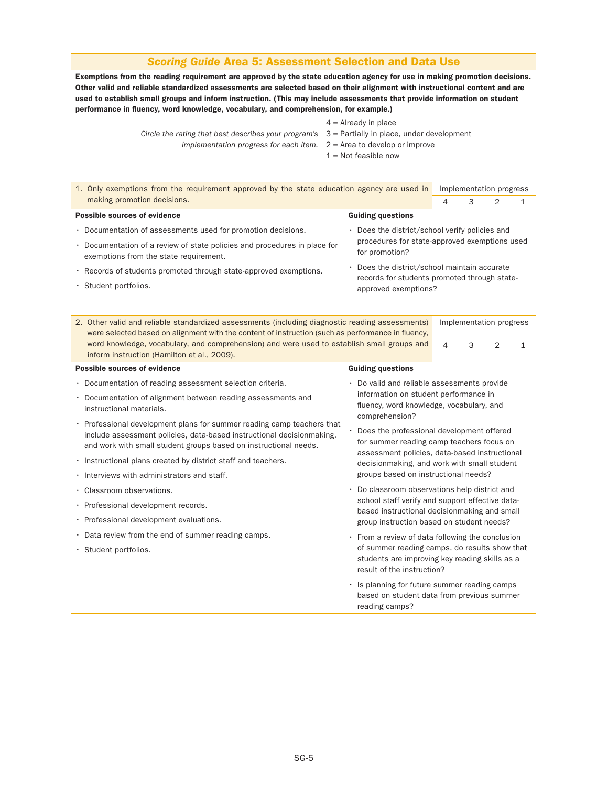## *Scoring Guide* Area 5: Assessment Selection and Data Use

Exemptions from the reading requirement are approved by the state education agency for use in making promotion decisions. Other valid and reliable standardized assessments are selected based on their alignment with instructional content and are used to establish small groups and inform instruction. (This may include assessments that provide information on student performance in fluency, word knowledge, vocabulary, and comprehension, for example.)

|                                                                                                  | $1.110$ and $1.11$ proversed in the provent of $1.11$ proversed in the set of $1.11$ proven in the set of $1.11$ proven in the set of $1.11$ proven in the set of $1.11$ proven in the set of $1.11$ proven in the set of $1.$ |
|--------------------------------------------------------------------------------------------------|--------------------------------------------------------------------------------------------------------------------------------------------------------------------------------------------------------------------------------|
| Circle the rating that best describes your program's $3$ = Partially in place, under development |                                                                                                                                                                                                                                |
|                                                                                                  |                                                                                                                                                                                                                                |

- $4$  = Already in place
- 
- *implementation progress for each item.* 2 = Area to develop or improve
	- $1 =$  Not feasible now

| 1. Only exemptions from the requirement approved by the state education agency are used in                                                                                                      |                                            |                                                                                           |   |   | Implementation progress |              |
|-------------------------------------------------------------------------------------------------------------------------------------------------------------------------------------------------|--------------------------------------------|-------------------------------------------------------------------------------------------|---|---|-------------------------|--------------|
| making promotion decisions.                                                                                                                                                                     |                                            |                                                                                           | 4 | 3 | $\overline{2}$          | $\mathbf{1}$ |
| Possible sources of evidence                                                                                                                                                                    |                                            | <b>Guiding questions</b>                                                                  |   |   |                         |              |
| • Documentation of assessments used for promotion decisions.                                                                                                                                    |                                            | • Does the district/school verify policies and                                            |   |   |                         |              |
| • Documentation of a review of state policies and procedures in place for<br>exemptions from the state requirement.                                                                             |                                            | procedures for state-approved exemptions used<br>for promotion?                           |   |   |                         |              |
| · Records of students promoted through state-approved exemptions.                                                                                                                               |                                            | • Does the district/school maintain accurate                                              |   |   |                         |              |
| · Student portfolios.                                                                                                                                                                           |                                            | records for students promoted through state-<br>approved exemptions?                      |   |   |                         |              |
|                                                                                                                                                                                                 |                                            |                                                                                           |   |   |                         |              |
| 2. Other valid and reliable standardized assessments (including diagnostic reading assessments)                                                                                                 |                                            |                                                                                           |   |   | Implementation progress |              |
| were selected based on alignment with the content of instruction (such as performance in fluency,<br>word knowledge, vocabulary, and comprehension) and were used to establish small groups and |                                            |                                                                                           | 4 | 3 | $\overline{2}$          | $\mathbf{1}$ |
| inform instruction (Hamilton et al., 2009).                                                                                                                                                     |                                            |                                                                                           |   |   |                         |              |
|                                                                                                                                                                                                 |                                            |                                                                                           |   |   |                         |              |
| Possible sources of evidence                                                                                                                                                                    |                                            |                                                                                           |   |   |                         |              |
| • Documentation of reading assessment selection criteria.                                                                                                                                       |                                            | • Do valid and reliable assessments provide                                               |   |   |                         |              |
| • Documentation of alignment between reading assessments and                                                                                                                                    |                                            | information on student performance in                                                     |   |   |                         |              |
| instructional materials.                                                                                                                                                                        |                                            | fluency, word knowledge, vocabulary, and                                                  |   |   |                         |              |
| • Professional development plans for summer reading camp teachers that                                                                                                                          | <b>Guiding questions</b><br>comprehension? |                                                                                           |   |   |                         |              |
| include assessment policies, data-based instructional decisionmaking,                                                                                                                           |                                            | · Does the professional development offered<br>for summer reading camp teachers focus on  |   |   |                         |              |
| and work with small student groups based on instructional needs.                                                                                                                                |                                            | assessment policies, data-based instructional                                             |   |   |                         |              |
| · Instructional plans created by district staff and teachers.                                                                                                                                   |                                            | decisionmaking, and work with small student                                               |   |   |                         |              |
| . Interviews with administrators and staff.                                                                                                                                                     |                                            | groups based on instructional needs?                                                      |   |   |                         |              |
| · Classroom observations.                                                                                                                                                                       |                                            | • Do classroom observations help district and                                             |   |   |                         |              |
| · Professional development records.                                                                                                                                                             |                                            | school staff verify and support effective data-                                           |   |   |                         |              |
| · Professional development evaluations.                                                                                                                                                         |                                            | based instructional decisionmaking and small<br>group instruction based on student needs? |   |   |                         |              |

- Data review from the end of summer reading camps.
- Student portfolios.

• From a review of data following the conclusion of summer reading camps, do results show that students are improving key reading skills as a result of the instruction?

• Is planning for future summer reading camps based on student data from previous summer reading camps?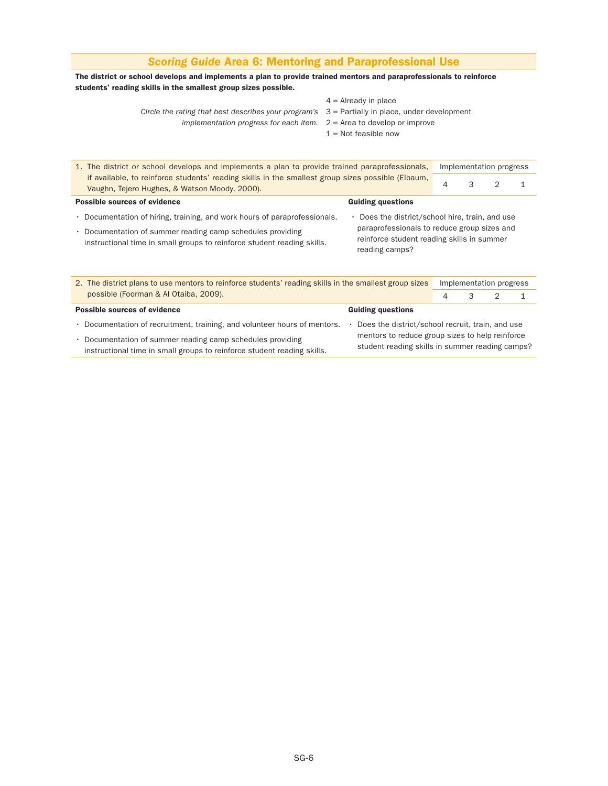## *Scoring Guide* Area 6: Mentoring and Paraprofessional Use

#### The district or school develops and implements a plan to provide trained mentors and paraprofessionals to reinforce students' reading skills in the smallest group sizes possible.

- $4 =$  Already in place
- *Circle the rating that best describes your program's* 3 = Partially in place, under development
	- *implementation progress for each item.* 2 = Area to develop or improve
		- $1$  = Not feasible now

| 1. The district or school develops and implements a plan to provide trained paraprofessionals,                                                     |                                                                                                             |   |   | Implementation progress |  |
|----------------------------------------------------------------------------------------------------------------------------------------------------|-------------------------------------------------------------------------------------------------------------|---|---|-------------------------|--|
| if available, to reinforce students' reading skills in the smallest group sizes possible (Elbaum,<br>Vaughn, Tejero Hughes, & Watson Moody, 2000). |                                                                                                             | 4 | 3 |                         |  |
| <b>Possible sources of evidence</b>                                                                                                                | <b>Guiding questions</b>                                                                                    |   |   |                         |  |
| • Documentation of hiring, training, and work hours of paraprofessionals.                                                                          | • Does the district/school hire, train, and use                                                             |   |   |                         |  |
| • Documentation of summer reading camp schedules providing<br>instructional time in small groups to reinforce student reading skills.              | paraprofessionals to reduce group sizes and<br>reinforce student reading skills in summer<br>reading camps? |   |   |                         |  |

| 2. The district plans to use mentors to reinforce students' reading skills in the smallest group sizes                                |                                                                                                    | Implementation progress |  |  |  |  |  |
|---------------------------------------------------------------------------------------------------------------------------------------|----------------------------------------------------------------------------------------------------|-------------------------|--|--|--|--|--|
| possible (Foorman & Al Otaiba, 2009).                                                                                                 |                                                                                                    |                         |  |  |  |  |  |
| <b>Possible sources of evidence</b>                                                                                                   | <b>Guiding questions</b>                                                                           |                         |  |  |  |  |  |
| • Documentation of recruitment, training, and volunteer hours of mentors.                                                             | Does the district/school recruit, train, and use                                                   |                         |  |  |  |  |  |
| • Documentation of summer reading camp schedules providing<br>instructional time in small groups to reinforce student reading skills. | mentors to reduce group sizes to help reinforce<br>student reading skills in summer reading camps? |                         |  |  |  |  |  |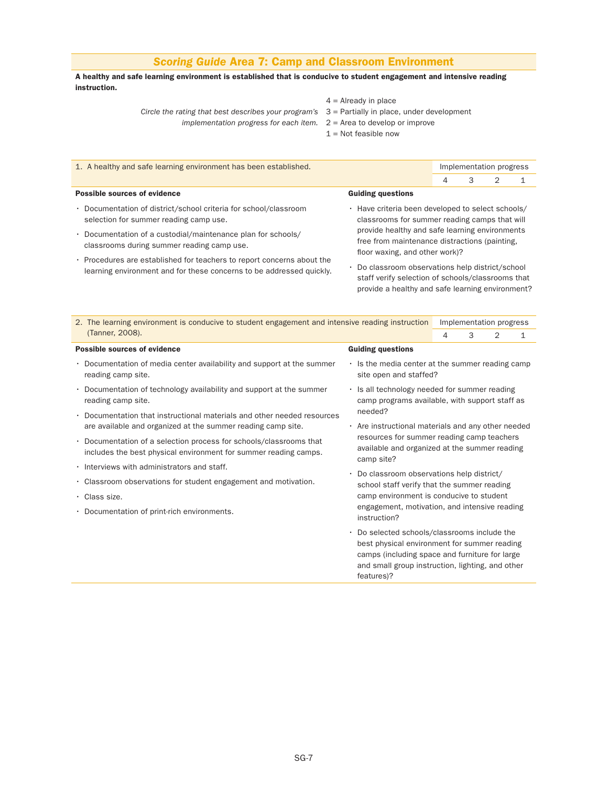## *Scoring Guide* Area 7: Camp and Classroom Environment

A healthy and safe learning environment is established that is conducive to student engagement and intensive reading instruction.

- $4 =$  Already in place
- *Circle the rating that best describes your program's* 3 = Partially in place, under development
	- *implementation progress for each item.* 2 = Area to develop or improve
		- $1 =$  Not feasible now

| 1. A healthy and safe learning environment has been established.                                                                               |                                                                                                                                                           | Implementation progress                                                                         |   |   |  |  |  |  |
|------------------------------------------------------------------------------------------------------------------------------------------------|-----------------------------------------------------------------------------------------------------------------------------------------------------------|-------------------------------------------------------------------------------------------------|---|---|--|--|--|--|
|                                                                                                                                                |                                                                                                                                                           | 4                                                                                               | 3 | 2 |  |  |  |  |
| Possible sources of evidence                                                                                                                   | <b>Guiding questions</b>                                                                                                                                  |                                                                                                 |   |   |  |  |  |  |
| • Documentation of district/school criteria for school/classroom<br>selection for summer reading camp use.                                     | • Have criteria been developed to select schools/<br>classrooms for summer reading camps that will                                                        |                                                                                                 |   |   |  |  |  |  |
| · Documentation of a custodial/maintenance plan for schools/<br>classrooms during summer reading camp use.                                     | floor waxing, and other work)?                                                                                                                            | provide healthy and safe learning environments<br>free from maintenance distractions (painting, |   |   |  |  |  |  |
| . Procedures are established for teachers to report concerns about the<br>learning environment and for these concerns to be addressed quickly. | • Do classroom observations help district/school<br>staff verify selection of schools/classrooms that<br>provide a healthy and safe learning environment? |                                                                                                 |   |   |  |  |  |  |

| 2. The learning environment is conducive to student engagement and intensive reading instruction                                          |                                                                                                                                                                                                                     |                                                                                                                                                                                                                                              | Implementation progress |   |              |  |  |
|-------------------------------------------------------------------------------------------------------------------------------------------|---------------------------------------------------------------------------------------------------------------------------------------------------------------------------------------------------------------------|----------------------------------------------------------------------------------------------------------------------------------------------------------------------------------------------------------------------------------------------|-------------------------|---|--------------|--|--|
| (Tanner, 2008).                                                                                                                           |                                                                                                                                                                                                                     | 4                                                                                                                                                                                                                                            | 3                       | 2 | $\mathbf{1}$ |  |  |
| <b>Possible sources of evidence</b>                                                                                                       | <b>Guiding questions</b>                                                                                                                                                                                            |                                                                                                                                                                                                                                              |                         |   |              |  |  |
| Documentation of media center availability and support at the summer<br>٠<br>reading camp site.                                           |                                                                                                                                                                                                                     | $\cdot$ Is the media center at the summer reading camp<br>site open and staffed?                                                                                                                                                             |                         |   |              |  |  |
| Documentation of technology availability and support at the summer<br>٠<br>reading camp site.                                             |                                                                                                                                                                                                                     | . Is all technology needed for summer reading<br>camp programs available, with support staff as                                                                                                                                              |                         |   |              |  |  |
| Documentation that instructional materials and other needed resources<br>٠                                                                |                                                                                                                                                                                                                     | needed?                                                                                                                                                                                                                                      |                         |   |              |  |  |
| are available and organized at the summer reading camp site.                                                                              |                                                                                                                                                                                                                     | . Are instructional materials and any other needed<br>resources for summer reading camp teachers<br>available and organized at the summer reading<br>Do classroom observations help district/<br>school staff verify that the summer reading |                         |   |              |  |  |
| Documentation of a selection process for schools/classrooms that<br>٠<br>includes the best physical environment for summer reading camps. | camp site?                                                                                                                                                                                                          |                                                                                                                                                                                                                                              |                         |   |              |  |  |
| Interviews with administrators and staff.<br>٠                                                                                            |                                                                                                                                                                                                                     |                                                                                                                                                                                                                                              |                         |   |              |  |  |
| Classroom observations for student engagement and motivation.<br>٠                                                                        |                                                                                                                                                                                                                     |                                                                                                                                                                                                                                              |                         |   |              |  |  |
| · Class size.                                                                                                                             |                                                                                                                                                                                                                     | camp environment is conducive to student                                                                                                                                                                                                     |                         |   |              |  |  |
| Documentation of print-rich environments.<br>٠                                                                                            | instruction?                                                                                                                                                                                                        | engagement, motivation, and intensive reading                                                                                                                                                                                                |                         |   |              |  |  |
|                                                                                                                                           | Do selected schools/classrooms include the<br>٠<br>best physical environment for summer reading<br>camps (including space and furniture for large<br>and small group instruction, lighting, and other<br>features)? |                                                                                                                                                                                                                                              |                         |   |              |  |  |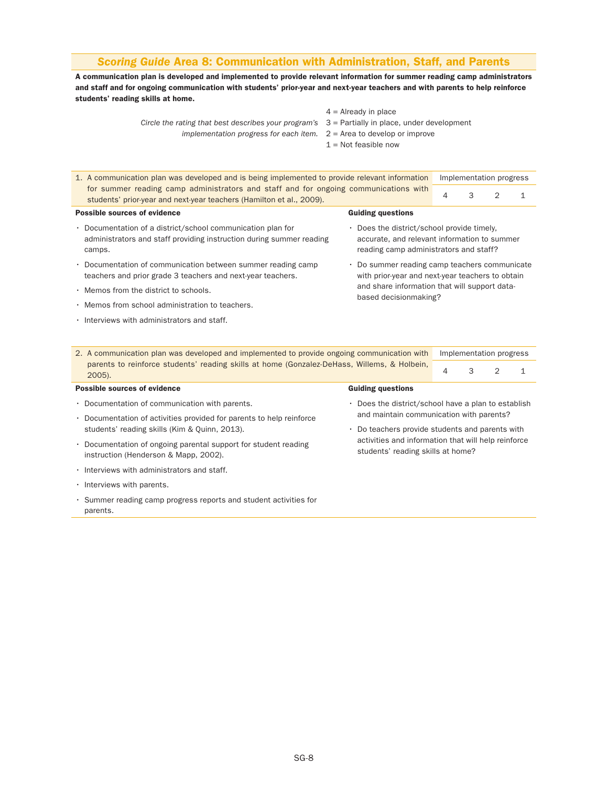#### *Scoring Guide* Area 8: Communication with Administration, Staff, and Parents

A communication plan is developed and implemented to provide relevant information for summer reading camp administrators and staff and for ongoing communication with students' prior-year and next-year teachers and with parents to help reinforce students' reading skills at home.

> *Circle the rating that best describes your program's* 3 = Partially in place, under development *implementation progress for each item.* 2 = Area to develop or improve

 $4$  = Already in place

- 
- $1 =$  Not feasible now
- 1. A communication plan was developed and is being implemented to provide relevant information Implementation progress for summer reading camp administrators and staff and for ongoing communications with <br>students' prior-year and next-year teachers (Hamilton et al., 2009). Possible sources of evidence • Documentation of a district/school communication plan for administrators and staff providing instruction during summer reading camps. • Documentation of communication between summer reading camp teachers and prior grade 3 teachers and next-year teachers. • Memos from the district to schools. • Memos from school administration to teachers. • Interviews with administrators and staff. Guiding questions • Does the district/school provide timely, accurate, and relevant information to summer reading camp administrators and staff? • Do summer reading camp teachers communicate with prior-year and next-year teachers to obtain and share information that will support databased decisionmaking?
- 2. A communication plan was developed and implemented to provide ongoing communication with Implementation progress parents to reinforce students' reading skills at home (Gonzalez-DeHass, Willems, & Holbein,  $\begin{array}{|l|l|l|l|l|}\n\hline\n4 & 3 & 2 & 1\n\end{array}$

#### Possible sources of evidence

- Documentation of communication with parents.
- Documentation of activities provided for parents to help reinforce students' reading skills (Kim & Quinn, 2013).
- Documentation of ongoing parental support for student reading instruction (Henderson & Mapp, 2002).
- Interviews with administrators and staff.
- Interviews with parents.
- Summer reading camp progress reports and student activities for parents.

#### Guiding questions

- Does the district/school have a plan to establish and maintain communication with parents?
- Do teachers provide students and parents with activities and information that will help reinforce students' reading skills at home?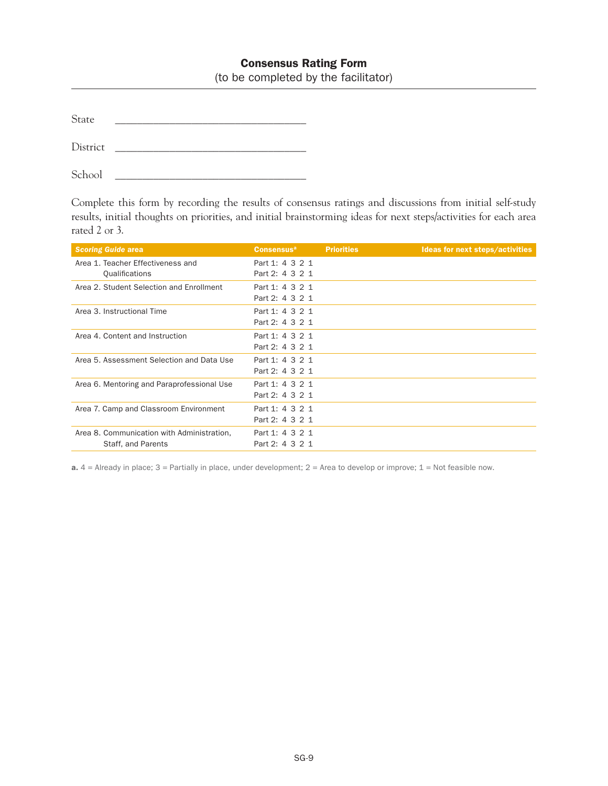## Consensus Rating Form

(to be completed by the facilitator)

| $S_{\text{fn}}$ |  |  |  |
|-----------------|--|--|--|
|                 |  |  |  |

District \_\_\_\_\_\_\_\_\_\_\_\_\_\_\_\_\_\_\_\_\_\_\_\_\_\_\_\_\_\_\_\_\_\_\_

School  $\Box$ 

Complete this form by recording the results of consensus ratings and discussions from initial self-study results, initial thoughts on priorities, and initial brainstorming ideas for next steps/activities for each area rated 2 or 3.

| <b>Scoring Guide area</b>                                        | <b>Consensus</b> <sup>a</sup>      | <b>Priorities</b> | Ideas for next steps/activities |
|------------------------------------------------------------------|------------------------------------|-------------------|---------------------------------|
| Area 1. Teacher Effectiveness and<br>Qualifications              | Part 1: 4 3 2 1<br>Part 2: 4 3 2 1 |                   |                                 |
| Area 2. Student Selection and Enrollment                         | Part 1: 4 3 2 1<br>Part 2: 4 3 2 1 |                   |                                 |
| Area 3. Instructional Time                                       | Part 1: 4 3 2 1<br>Part 2: 4 3 2 1 |                   |                                 |
| Area 4. Content and Instruction                                  | Part 1: 4 3 2 1<br>Part 2: 4 3 2 1 |                   |                                 |
| Area 5, Assessment Selection and Data Use                        | Part 1: 4 3 2 1<br>Part 2: 4 3 2 1 |                   |                                 |
| Area 6. Mentoring and Paraprofessional Use                       | Part 1: 4 3 2 1<br>Part 2: 4 3 2 1 |                   |                                 |
| Area 7. Camp and Classroom Environment                           | Part 1: 4 3 2 1<br>Part 2: 4 3 2 1 |                   |                                 |
| Area 8. Communication with Administration,<br>Staff, and Parents | Part 1: 4 3 2 1<br>Part 2: 4 3 2 1 |                   |                                 |

a.  $4 =$  Already in place;  $3 =$  Partially in place, under development;  $2 =$  Area to develop or improve;  $1 =$  Not feasible now.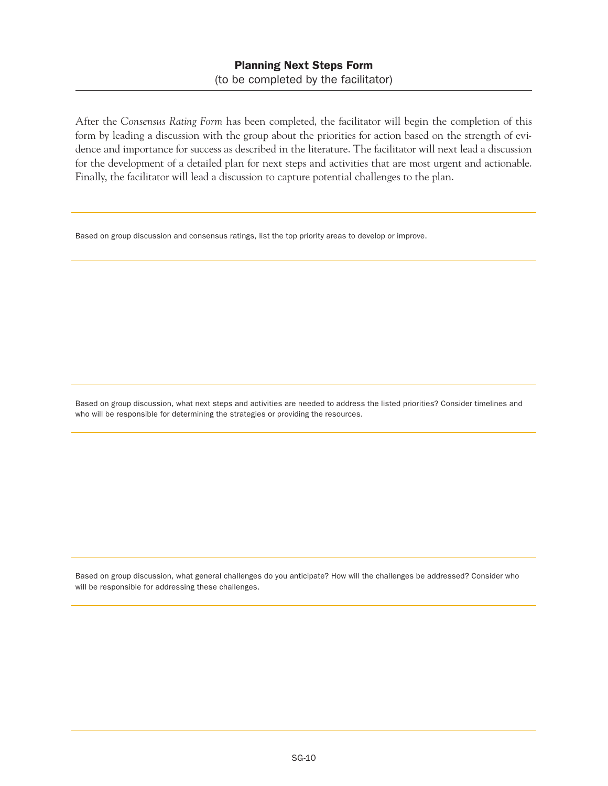After the *Consensus Rating Form* has been completed, the facilitator will begin the completion of this form by leading a discussion with the group about the priorities for action based on the strength of evidence and importance for success as described in the literature. The facilitator will next lead a discussion for the development of a detailed plan for next steps and activities that are most urgent and actionable. Finally, the facilitator will lead a discussion to capture potential challenges to the plan.

Based on group discussion and consensus ratings, list the top priority areas to develop or improve.

Based on group discussion, what next steps and activities are needed to address the listed priorities? Consider timelines and who will be responsible for determining the strategies or providing the resources.

Based on group discussion, what general challenges do you anticipate? How will the challenges be addressed? Consider who will be responsible for addressing these challenges.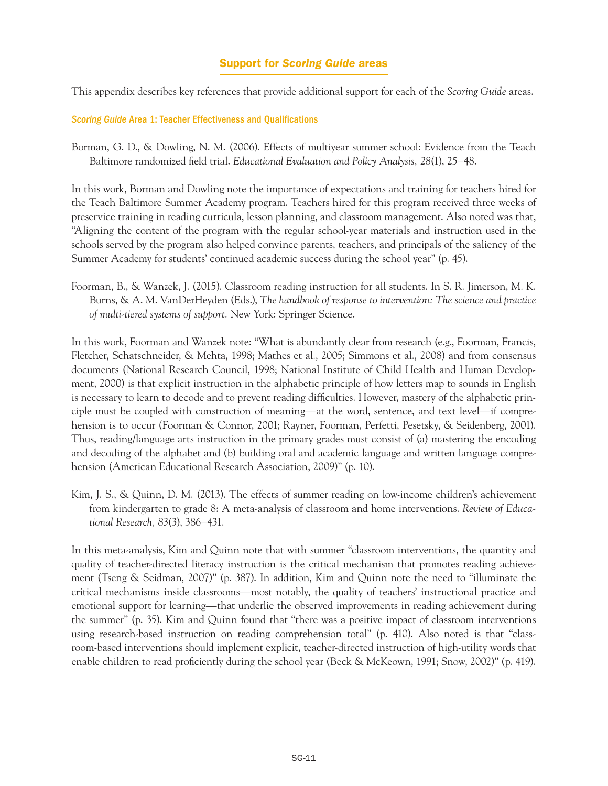## Support for *Scoring Guide* areas

This appendix describes key references that provide additional support for each of the *Scoring Guide* areas.

## *Scoring Guide* Area 1: Teacher Effectiveness and Qualifications

Borman, G. D., & Dowling, N. M. (2006). Effects of multiyear summer school: Evidence from the Teach Baltimore randomized field trial. *Educational Evaluation and Policy Analysis, 28*(1), 25–48.

In this work, Borman and Dowling note the importance of expectations and training for teachers hired for the Teach Baltimore Summer Academy program. Teachers hired for this program received three weeks of preservice training in reading curricula, lesson planning, and classroom management. Also noted was that, "Aligning the content of the program with the regular school-year materials and instruction used in the schools served by the program also helped convince parents, teachers, and principals of the saliency of the Summer Academy for students' continued academic success during the school year" (p. 45).

Foorman, B., & Wanzek, J. (2015). Classroom reading instruction for all students. In S. R. Jimerson, M. K. Burns, & A. M. VanDerHeyden (Eds.), *The handbook of response to intervention: The science and practice of multi-tiered systems of support.* New York: Springer Science.

In this work, Foorman and Wanzek note: "What is abundantly clear from research (e.g., Foorman, Francis, Fletcher, Schatschneider, & Mehta, 1998; Mathes et al., 2005; Simmons et al., 2008) and from consensus documents (National Research Council, 1998; National Institute of Child Health and Human Development, 2000) is that explicit instruction in the alphabetic principle of how letters map to sounds in English is necessary to learn to decode and to prevent reading difficulties. However, mastery of the alphabetic principle must be coupled with construction of meaning—at the word, sentence, and text level—if comprehension is to occur (Foorman & Connor, 2001; Rayner, Foorman, Perfetti, Pesetsky, & Seidenberg, 2001). Thus, reading/language arts instruction in the primary grades must consist of (a) mastering the encoding and decoding of the alphabet and (b) building oral and academic language and written language comprehension (American Educational Research Association, 2009)" (p. 10).

Kim, J. S., & Quinn, D. M. (2013). The effects of summer reading on low-income children's achievement from kindergarten to grade 8: A meta-analysis of classroom and home interventions. *Review of Educational Research, 83*(3), 386–431.

In this meta-analysis, Kim and Quinn note that with summer "classroom interventions, the quantity and quality of teacher-directed literacy instruction is the critical mechanism that promotes reading achievement (Tseng & Seidman, 2007)" (p. 387). In addition, Kim and Quinn note the need to "illuminate the critical mechanisms inside classrooms—most notably, the quality of teachers' instructional practice and emotional support for learning—that underlie the observed improvements in reading achievement during the summer" (p. 35). Kim and Quinn found that "there was a positive impact of classroom interventions using research-based instruction on reading comprehension total" (p. 410). Also noted is that "classroom-based interventions should implement explicit, teacher-directed instruction of high-utility words that enable children to read proficiently during the school year (Beck & McKeown, 1991; Snow, 2002)" (p. 419).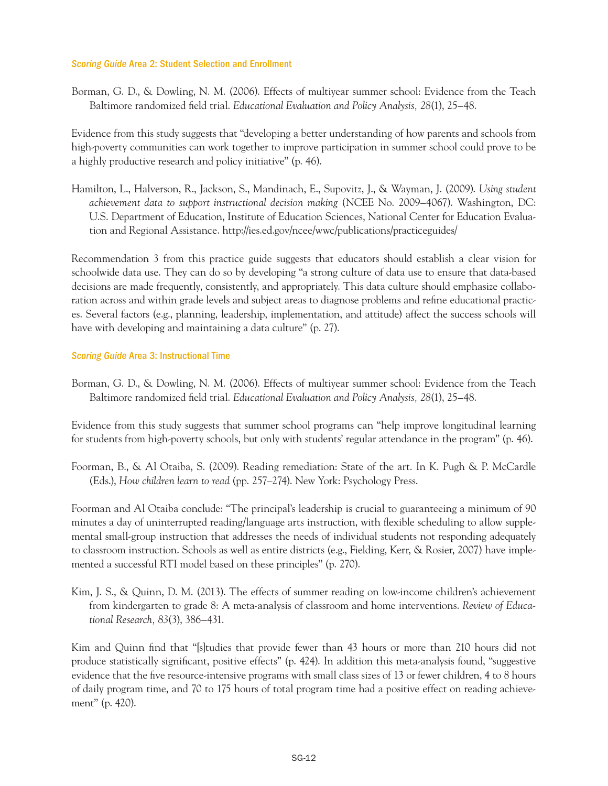#### *Scoring Guide* Area 2: Student Selection and Enrollment

Borman, G. D., & Dowling, N. M. (2006). Effects of multiyear summer school: Evidence from the Teach Baltimore randomized field trial. *Educational Evaluation and Policy Analysis, 28*(1), 25–48.

Evidence from this study suggests that "developing a better understanding of how parents and schools from high-poverty communities can work together to improve participation in summer school could prove to be a highly productive research and policy initiative" (p. 46).

Hamilton, L., Halverson, R., Jackson, S., Mandinach, E., Supovitz, J., & Wayman, J. (2009). *Using student achievement data to support instructional decision making* (NCEE No. 2009–4067). Washington, DC: U.S. Department of Education, Institute of Education Sciences, National Center for Education Evaluation and Regional Assistance.<http://ies.ed.gov/ncee/wwc/publications/practiceguides/>

Recommendation 3 from this practice guide suggests that educators should establish a clear vision for schoolwide data use. They can do so by developing "a strong culture of data use to ensure that data-based decisions are made frequently, consistently, and appropriately. This data culture should emphasize collaboration across and within grade levels and subject areas to diagnose problems and refine educational practices. Several factors (e.g., planning, leadership, implementation, and attitude) affect the success schools will have with developing and maintaining a data culture" (p. 27).

## *Scoring Guide* Area 3: Instructional Time

Borman, G. D., & Dowling, N. M. (2006). Effects of multiyear summer school: Evidence from the Teach Baltimore randomized field trial. *Educational Evaluation and Policy Analysis, 28*(1), 25–48.

Evidence from this study suggests that summer school programs can "help improve longitudinal learning for students from high-poverty schools, but only with students' regular attendance in the program" (p. 46).

Foorman, B., & Al Otaiba, S. (2009). Reading remediation: State of the art. In K. Pugh & P. McCardle (Eds.), *How children learn to read* (pp. 257–274). New York: Psychology Press.

Foorman and Al Otaiba conclude: "The principal's leadership is crucial to guaranteeing a minimum of 90 minutes a day of uninterrupted reading/language arts instruction, with flexible scheduling to allow supplemental small-group instruction that addresses the needs of individual students not responding adequately to classroom instruction. Schools as well as entire districts (e.g., Fielding, Kerr, & Rosier, 2007) have implemented a successful RTI model based on these principles" (p. 270).

Kim, J. S., & Quinn, D. M. (2013). The effects of summer reading on low-income children's achievement from kindergarten to grade 8: A meta-analysis of classroom and home interventions. *Review of Educational Research, 83*(3), 386–431.

Kim and Quinn find that "[s]tudies that provide fewer than 43 hours or more than 210 hours did not produce statistically significant, positive effects" (p. 424). In addition this meta-analysis found, "suggestive evidence that the five resource-intensive programs with small class sizes of 13 or fewer children, 4 to 8 hours of daily program time, and 70 to 175 hours of total program time had a positive effect on reading achievement" (p. 420).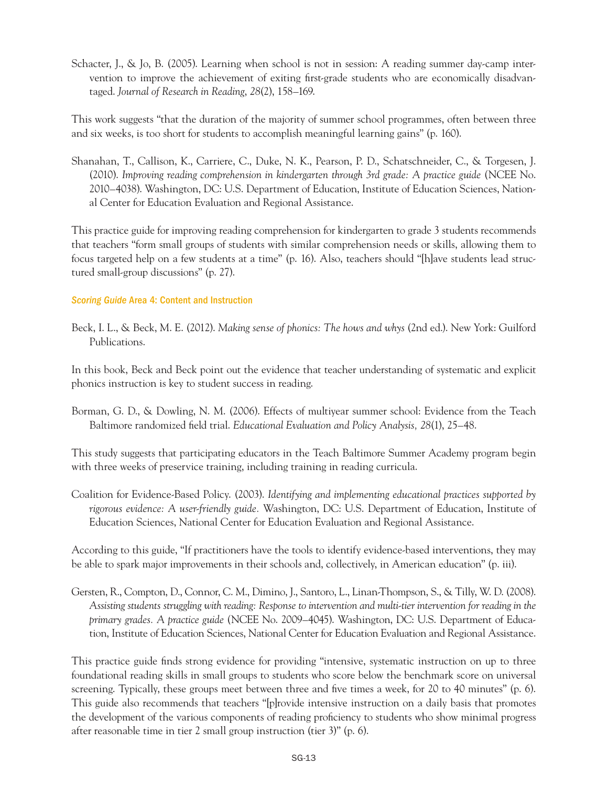Schacter, J., & Jo, B. (2005). Learning when school is not in session: A reading summer day-camp intervention to improve the achievement of exiting first-grade students who are economically disadvantaged. *Journal of Research in Reading*, *28*(2), 158–169.

This work suggests "that the duration of the majority of summer school programmes, often between three and six weeks, is too short for students to accomplish meaningful learning gains" (p. 160).

Shanahan, T., Callison, K., Carriere, C., Duke, N. K., Pearson, P. D., Schatschneider, C., & Torgesen, J. (2010). *Improving reading comprehension in kindergarten through 3rd grade: A practice guide* (NCEE No. 2010–4038). Washington, DC: U.S. Department of Education, Institute of Education Sciences, National Center for Education Evaluation and Regional Assistance.

This practice guide for improving reading comprehension for kindergarten to grade 3 students recommends that teachers "form small groups of students with similar comprehension needs or skills, allowing them to focus targeted help on a few students at a time" (p. 16). Also, teachers should "[h]ave students lead structured small-group discussions" (p. 27).

## *Scoring Guide* Area 4: Content and Instruction

Beck, I. L., & Beck, M. E. (2012). *Making sense of phonics: The hows and whys* (2nd ed.). New York: Guilford Publications.

In this book, Beck and Beck point out the evidence that teacher understanding of systematic and explicit phonics instruction is key to student success in reading.

Borman, G. D., & Dowling, N. M. (2006). Effects of multiyear summer school: Evidence from the Teach Baltimore randomized field trial. *Educational Evaluation and Policy Analysis, 28*(1), 25–48.

This study suggests that participating educators in the Teach Baltimore Summer Academy program begin with three weeks of preservice training, including training in reading curricula.

Coalition for Evidence-Based Policy. (2003). *Identifying and implementing educational practices supported by rigorous evidence: A user-friendly guide.* Washington, DC: U.S. Department of Education, Institute of Education Sciences, National Center for Education Evaluation and Regional Assistance.

According to this guide, "If practitioners have the tools to identify evidence-based interventions, they may be able to spark major improvements in their schools and, collectively, in American education" (p. iii).

Gersten, R., Compton, D., Connor, C. M., Dimino, J., Santoro, L., Linan-Thompson, S., & Tilly, W. D. (2008). *Assisting students struggling with reading: Response to intervention and multi-tier intervention for reading in the primary grades. A practice guide* (NCEE No. 2009–4045). Washington, DC: U.S. Department of Education, Institute of Education Sciences, National Center for Education Evaluation and Regional Assistance.

This practice guide finds strong evidence for providing "intensive, systematic instruction on up to three foundational reading skills in small groups to students who score below the benchmark score on universal screening. Typically, these groups meet between three and five times a week, for 20 to 40 minutes" (p. 6). This guide also recommends that teachers "[p]rovide intensive instruction on a daily basis that promotes the development of the various components of reading proficiency to students who show minimal progress after reasonable time in tier 2 small group instruction (tier 3)" (p. 6).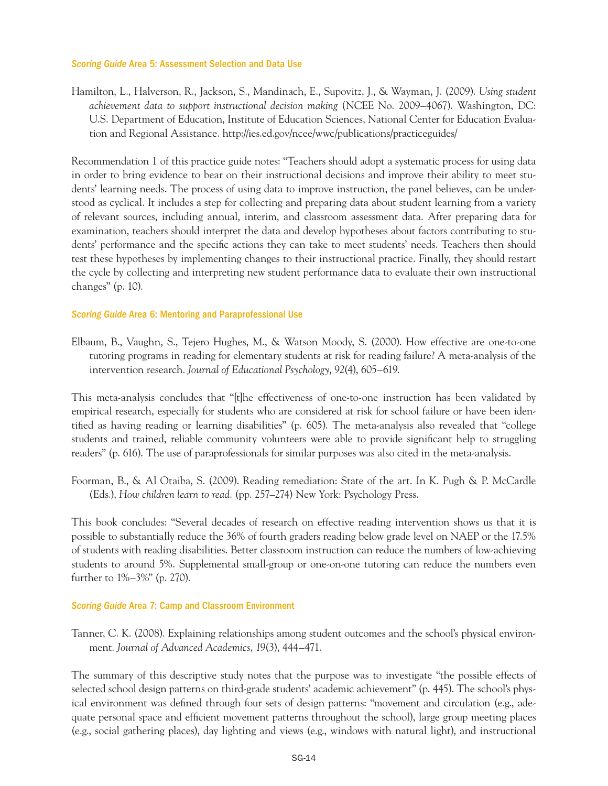#### *Scoring Guide* Area 5: Assessment Selection and Data Use

Hamilton, L., Halverson, R., Jackson, S., Mandinach, E., Supovitz, J., & Wayman, J. (2009). *Using student achievement data to support instructional decision making* (NCEE No. 2009–4067). Washington, DC: U.S. Department of Education, Institute of Education Sciences, National Center for Education Evaluation and Regional Assistance.<http://ies.ed.gov/ncee/wwc/publications/practiceguides/>

Recommendation 1 of this practice guide notes: "Teachers should adopt a systematic process for using data in order to bring evidence to bear on their instructional decisions and improve their ability to meet students' learning needs. The process of using data to improve instruction, the panel believes, can be understood as cyclical. It includes a step for collecting and preparing data about student learning from a variety of relevant sources, including annual, interim, and classroom assessment data. After preparing data for examination, teachers should interpret the data and develop hypotheses about factors contributing to students' performance and the specific actions they can take to meet students' needs. Teachers then should test these hypotheses by implementing changes to their instructional practice. Finally, they should restart the cycle by collecting and interpreting new student performance data to evaluate their own instructional changes" (p. 10).

## *Scoring Guide* Area 6: Mentoring and Paraprofessional Use

Elbaum, B., Vaughn, S., Tejero Hughes, M., & Watson Moody, S. (2000). How effective are one-to-one tutoring programs in reading for elementary students at risk for reading failure? A meta-analysis of the intervention research. *Journal of Educational Psychology*, *92*(4), 605–619.

This meta-analysis concludes that "[t]he effectiveness of one-to-one instruction has been validated by empirical research, especially for students who are considered at risk for school failure or have been identified as having reading or learning disabilities" (p. 605). The meta-analysis also revealed that "college students and trained, reliable community volunteers were able to provide significant help to struggling readers" (p. 616). The use of paraprofessionals for similar purposes was also cited in the meta-analysis.

Foorman, B., & Al Otaiba, S. (2009). Reading remediation: State of the art. In K. Pugh & P. McCardle (Eds.), *How children learn to read*. (pp. 257–274) New York: Psychology Press.

This book concludes: "Several decades of research on effective reading intervention shows us that it is possible to substantially reduce the 36% of fourth graders reading below grade level on NAEP or the 17.5% of students with reading disabilities. Better classroom instruction can reduce the numbers of low-achieving students to around 5%. Supplemental small-group or one-on-one tutoring can reduce the numbers even further to 1%–3%" (p. 270).

#### *Scoring Guide* Area 7: Camp and Classroom Environment

Tanner, C. K. (2008). Explaining relationships among student outcomes and the school's physical environment. *Journal of Advanced Academics*, *19*(3), 444–471.

The summary of this descriptive study notes that the purpose was to investigate "the possible effects of selected school design patterns on third-grade students' academic achievement" (p. 445). The school's physical environment was defined through four sets of design patterns: "movement and circulation (e.g., adequate personal space and efficient movement patterns throughout the school), large group meeting places (e.g., social gathering places), day lighting and views (e.g., windows with natural light), and instructional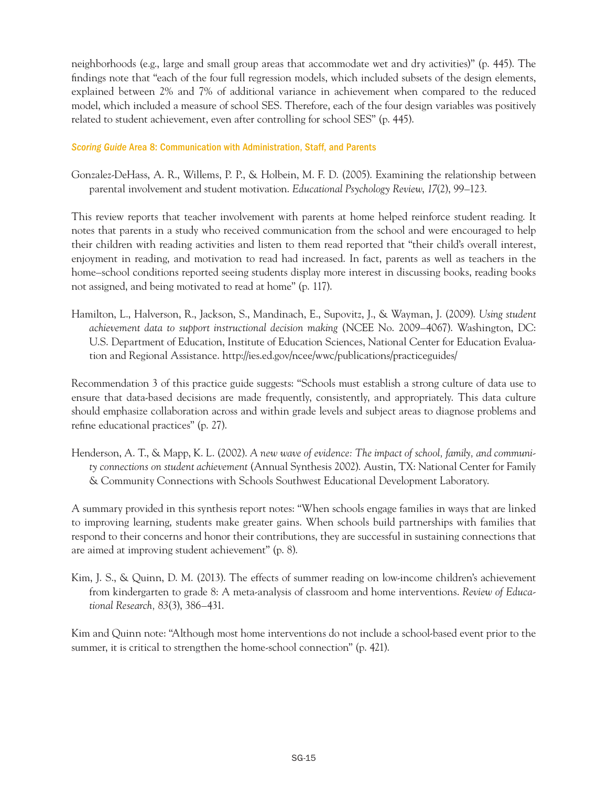neighborhoods (e.g., large and small group areas that accommodate wet and dry activities)" (p. 445). The findings note that "each of the four full regression models, which included subsets of the design elements, explained between 2% and 7% of additional variance in achievement when compared to the reduced model, which included a measure of school SES. Therefore, each of the four design variables was positively related to student achievement, even after controlling for school SES" (p. 445).

## *Scoring Guide* Area 8: Communication with Administration, Staff, and Parents

Gonzalez-DeHass, A. R., Willems, P. P., & Holbein, M. F. D. (2005). Examining the relationship between parental involvement and student motivation. *Educational Psychology Review*, *17*(2), 99–123.

This review reports that teacher involvement with parents at home helped reinforce student reading. It notes that parents in a study who received communication from the school and were encouraged to help their children with reading activities and listen to them read reported that "their child's overall interest, enjoyment in reading, and motivation to read had increased. In fact, parents as well as teachers in the home–school conditions reported seeing students display more interest in discussing books, reading books not assigned, and being motivated to read at home" (p. 117).

Hamilton, L., Halverson, R., Jackson, S., Mandinach, E., Supovitz, J., & Wayman, J. (2009). *Using student achievement data to support instructional decision making* (NCEE No. 2009–4067). Washington, DC: U.S. Department of Education, Institute of Education Sciences, National Center for Education Evaluation and Regional Assistance.<http://ies.ed.gov/ncee/wwc/publications/practiceguides/>

Recommendation 3 of this practice guide suggests: "Schools must establish a strong culture of data use to ensure that data-based decisions are made frequently, consistently, and appropriately. This data culture should emphasize collaboration across and within grade levels and subject areas to diagnose problems and refine educational practices" (p. 27).

Henderson, A. T., & Mapp, K. L. (2002). *A new wave of evidence: The impact of school, family, and community connections on student achievement* (Annual Synthesis 2002). Austin, TX: National Center for Family & Community Connections with Schools Southwest Educational Development Laboratory.

A summary provided in this synthesis report notes: "When schools engage families in ways that are linked to improving learning, students make greater gains. When schools build partnerships with families that respond to their concerns and honor their contributions, they are successful in sustaining connections that are aimed at improving student achievement" (p. 8).

Kim, J. S., & Quinn, D. M. (2013). The effects of summer reading on low-income children's achievement from kindergarten to grade 8: A meta-analysis of classroom and home interventions. *Review of Educational Research, 83*(3), 386–431.

Kim and Quinn note: "Although most home interventions do not include a school-based event prior to the summer, it is critical to strengthen the home-school connection" (p. 421).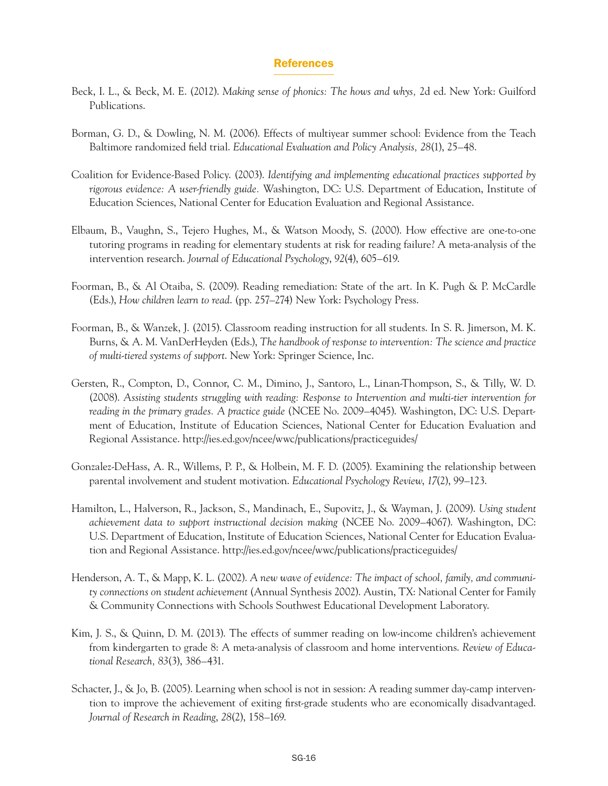## References

- Beck, I. L., & Beck, M. E. (2012). *Making sense of phonics: The hows and whys,* 2d ed. New York: Guilford Publications.
- Borman, G. D., & Dowling, N. M. (2006). Effects of multiyear summer school: Evidence from the Teach Baltimore randomized field trial. *Educational Evaluation and Policy Analysis, 28*(1), 25–48.
- Coalition for Evidence-Based Policy. (2003). *Identifying and implementing educational practices supported by rigorous evidence: A user-friendly guide.* Washington, DC: U.S. Department of Education, Institute of Education Sciences, National Center for Education Evaluation and Regional Assistance.
- Elbaum, B., Vaughn, S., Tejero Hughes, M., & Watson Moody, S. (2000). How effective are one-to-one tutoring programs in reading for elementary students at risk for reading failure? A meta-analysis of the intervention research. *Journal of Educational Psychology*, *92*(4), 605–619.
- Foorman, B., & Al Otaiba, S. (2009). Reading remediation: State of the art. In K. Pugh & P. McCardle (Eds.), *How children learn to read*. (pp. 257–274) New York: Psychology Press.
- Foorman, B., & Wanzek, J. (2015). Classroom reading instruction for all students. In S. R. Jimerson, M. K. Burns, & A. M. VanDerHeyden (Eds.), *The handbook of response to intervention: The science and practice of multi-tiered systems of support*. New York: Springer Science, Inc.
- Gersten, R., Compton, D., Connor, C. M., Dimino, J., Santoro, L., Linan-Thompson, S., & Tilly, W. D. (2008). *Assisting students struggling with reading: Response to Intervention and multi-tier intervention for reading in the primary grades. A practice guide* (NCEE No. 2009–4045). Washington, DC: U.S. Department of Education, Institute of Education Sciences, National Center for Education Evaluation and Regional Assistance.<http://ies.ed.gov/ncee/wwc/publications/practiceguides/>
- Gonzalez-DeHass, A. R., Willems, P. P., & Holbein, M. F. D. (2005). Examining the relationship between parental involvement and student motivation. *Educational Psychology Review*, *17*(2), 99–123.
- Hamilton, L., Halverson, R., Jackson, S., Mandinach, E., Supovitz, J., & Wayman, J. (2009). *Using student achievement data to support instructional decision making* (NCEE No. 2009–4067). Washington, DC: U.S. Department of Education, Institute of Education Sciences, National Center for Education Evaluation and Regional Assistance.<http://ies.ed.gov/ncee/wwc/publications/practiceguides/>
- Henderson, A. T., & Mapp, K. L. (2002). *A new wave of evidence: The impact of school, family, and community connections on student achievement* (Annual Synthesis 2002). Austin, TX: National Center for Family & Community Connections with Schools Southwest Educational Development Laboratory.
- Kim, J. S., & Quinn, D. M. (2013). The effects of summer reading on low-income children's achievement from kindergarten to grade 8: A meta-analysis of classroom and home interventions. *Review of Educational Research, 83*(3), 386–431.
- Schacter, J., & Jo, B. (2005). Learning when school is not in session: A reading summer day-camp intervention to improve the achievement of exiting first-grade students who are economically disadvantaged. *Journal of Research in Reading*, *28*(2), 158–169.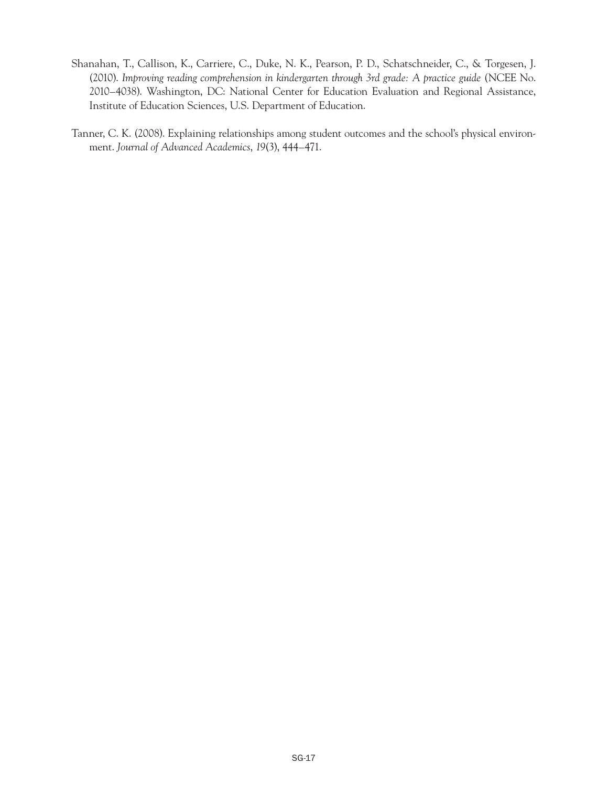- Shanahan, T., Callison, K., Carriere, C., Duke, N. K., Pearson, P. D., Schatschneider, C., & Torgesen, J. (2010). *Improving reading comprehension in kindergarten through 3rd grade: A practice guide* (NCEE No. 2010–4038). Washington, DC: National Center for Education Evaluation and Regional Assistance, Institute of Education Sciences, U.S. Department of Education.
- Tanner, C. K. (2008). Explaining relationships among student outcomes and the school's physical environment. *Journal of Advanced Academics*, *19*(3), 444–471.